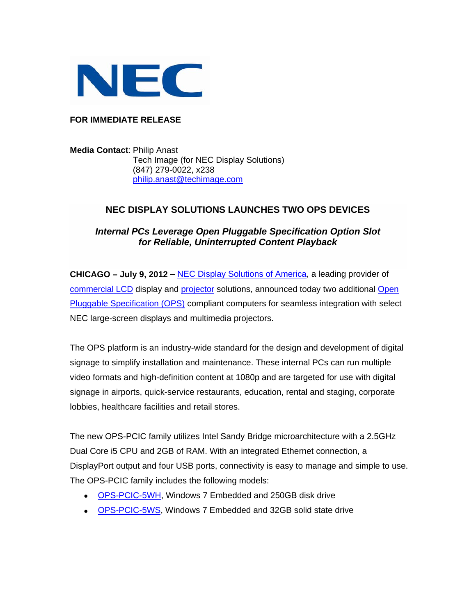

### **FOR IMMEDIATE RELEASE**

**Media Contact**: Philip Anast Tech Image (for NEC Display Solutions) (847) 279-0022, x238 [philip.anast@techimage.com](mailto:philip.anast@techimage.com)

## **NEC DISPLAY SOLUTIONS LAUNCHES TWO OPS DEVICES**

# *Internal PCs Leverage Open Pluggable Specification Option Slot for Reliable, Uninterrupted Content Playback*

**CHICAGO – July 9, 2012** – [NEC Display Solutions of America](http://www.necdisplay.com/), a leading provider of [commercial LCD](http://www.necdisplay.com/Products/Class/?class=1443b9bb-3fcb-4a37-8c72-d755161e8e08) display and [projector](http://necdisplay.com/category/multimedia-projectors) solutions, announced today two additional [Open](http://www.necdisplay.com/accessories/large-screen-displays/option-cards)  [Pluggable Specification \(OPS\)](http://www.necdisplay.com/accessories/large-screen-displays/option-cards) compliant computers for seamless integration with select NEC large-screen displays and multimedia projectors.

The OPS platform is an industry-wide standard for the design and development of digital signage to simplify installation and maintenance. These internal PCs can run multiple video formats and high-definition content at 1080p and are targeted for use with digital signage in airports, quick-service restaurants, education, rental and staging, corporate lobbies, healthcare facilities and retail stores.

The new OPS-PCIC family utilizes Intel Sandy Bridge microarchitecture with a 2.5GHz Dual Core i5 CPU and 2GB of RAM. With an integrated Ethernet connection, a DisplayPort output and four USB ports, connectivity is easy to manage and simple to use. The OPS-PCIC family includes the following models:

- [OPS-PCIC-5WH](http://www.necdisplay.com/p/ops-pcic-5wh), Windows 7 Embedded and 250GB disk drive
- [OPS-PCIC-5WS,](http://www.necdisplay.com/p/ops-pcic-5ws) Windows 7 Embedded and 32GB solid state drive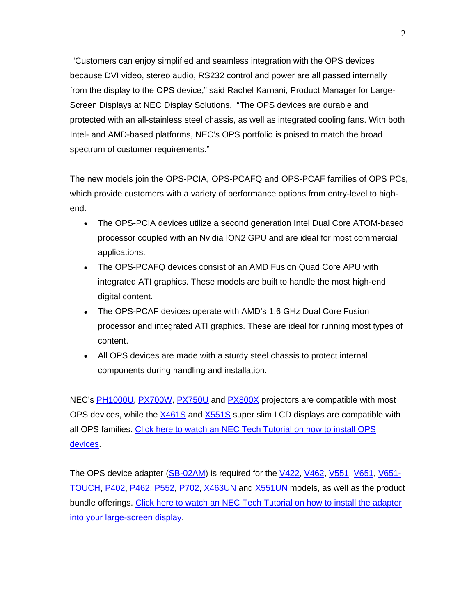"Customers can enjoy simplified and seamless integration with the OPS devices because DVI video, stereo audio, RS232 control and power are all passed internally from the display to the OPS device," said Rachel Karnani, Product Manager for Large-Screen Displays at NEC Display Solutions. "The OPS devices are durable and protected with an all-stainless steel chassis, as well as integrated cooling fans. With both Intel- and AMD-based platforms, NEC's OPS portfolio is poised to match the broad spectrum of customer requirements."

The new models join the OPS-PCIA, OPS-PCAFQ and OPS-PCAF families of OPS PCs, which provide customers with a variety of performance options from entry-level to highend.

- The OPS-PCIA devices utilize a second generation Intel Dual Core ATOM-based processor coupled with an Nvidia ION2 GPU and are ideal for most commercial applications.
- The OPS-PCAFQ devices consist of an AMD Fusion Quad Core APU with integrated ATI graphics. These models are built to handle the most high-end digital content.
- The OPS-PCAF devices operate with AMD's 1.6 GHz Dual Core Fusion processor and integrated ATI graphics. These are ideal for running most types of content.
- All OPS devices are made with a sturdy steel chassis to protect internal components during handling and installation.

NEC's **PH1000U, [PX700W](http://www.necdisplay.com/p/np-px700w), PX750U** and [PX800X](http://www.necdisplay.com/p/np-px800x) projectors are compatible with most OPS devices, while the [X461S](http://www.necdisplay.com/p/x461s) and [X551S](http://www.necdisplay.com/p/x551s) super slim LCD displays are compatible with all OPS families. [Click here to watch an NEC Tech Tutorial on how to install OPS](http://www.youtube.com/watch?v=iKeNgpYEJgk)  [devices](http://www.youtube.com/watch?v=iKeNgpYEJgk).

The OPS device adapter [\(SB-02AM](http://www.necdisplay.com/p/sb-02am)) is required for the [V422](http://www.necdisplay.com/p/v422), [V462](http://www.necdisplay.com/p/v462), [V551,](http://www.necdisplay.com/p/v551) [V651,](http://www.necdisplay.com/p/v651) [V651-](http://www.necdisplay.com/p/v651-touch) [TOUCH](http://www.necdisplay.com/p/v651-touch), [P402,](http://www.necdisplay.com/p/p402) [P462,](http://www.necdisplay.com/p/p462) [P552,](http://www.necdisplay.com/p/p552) [P702](http://www.necdisplay.com/p/p702), [X463UN](http://www.necdisplay.com/p/x463un) and [X551UN](http://www.necdisplay.com/p/x551un) models, as well as the product bundle offerings. [Click here to watch an NEC Tech Tutorial on how to install the adapter](http://www.youtube.com/watch?v=D9a30wpVcPo)  [into your large-screen display.](http://www.youtube.com/watch?v=D9a30wpVcPo)